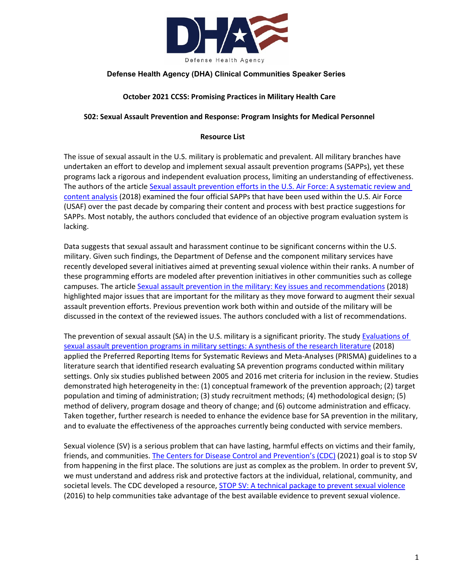

# **Defense Health Agency (DHA) Clinical Communities Speaker Series**

### **October 2021 CCSS: Promising Practices in Military Health Care**

#### **S02: Sexual Assault Prevention and Response: Program Insights for Medical Personnel**

#### **Resource List**

The issue of sexual assault in the U.S. military is problematic and prevalent. All military branches have undertaken an effort to develop and implement sexual assault prevention programs (SAPPs), yet these programs lack a rigorous and independent evaluation process, limiting an understanding of effectiveness. The authors of the article Sexual assault prevention efforts in the U.S. Air Force: A systematic review and [content analysis](https://pubmed.ncbi.nlm.nih.gov/26450786/) (2018) examined the four official SAPPs that have been used within the U.S. Air Force (USAF) over the past decade by comparing their content and process with best practice suggestions for SAPPs. Most notably, the authors concluded that evidence of an objective program evaluation system is lacking.

Data suggests that sexual assault and harassment continue to be significant concerns within the U.S. military. Given such findings, the Department of Defense and the component military services have recently developed several initiatives aimed at preventing sexual violence within their ranks. A number of these programming efforts are modeled after prevention initiatives in other communities such as college campuses. The article [Sexual assault prevention in the military: Key issues and recommendations](https://www.researchgate.net/publication/326484373_Sexual_assault_prevention_in_the_military_Key_issues_and_recommendations) (2018) highlighted major issues that are important for the military as they move forward to augment their sexual assault prevention efforts. Previous prevention work both within and outside of the military will be discussed in the context of the reviewed issues. The authors concluded with a list of recommendations.

The prevention of sexual assault (SA) in the U.S. military is a significant priority. The stud[y Evaluations](https://academic.oup.com/milmed/article/183/suppl_1/421/4959989?login=true) of [sexual assault prevention programs in military settings: A synthesis of the research literature](https://academic.oup.com/milmed/article/183/suppl_1/421/4959989?login=true) (2018) applied the Preferred Reporting Items for Systematic Reviews and Meta-Analyses (PRISMA) guidelines to a literature search that identified research evaluating SA prevention programs conducted within military settings. Only six studies published between 2005 and 2016 met criteria for inclusion in the review. Studies demonstrated high heterogeneity in the: (1) conceptual framework of the prevention approach; (2) target population and timing of administration; (3) study recruitment methods; (4) methodological design; (5) method of delivery, program dosage and theory of change; and (6) outcome administration and efficacy. Taken together, further research is needed to enhance the evidence base for SA prevention in the military, and to evaluate the effectiveness of the approaches currently being conducted with service members.

Sexual violence (SV) is a serious problem that can have lasting, harmful effects on victims and their family, friends, and communities. The Centers [for Disease Control and Prevention's](https://www.cdc.gov/violenceprevention/sexualviolence/prevention.html) (CDC) (2021) goal is to stop SV from happening in the first place. The solutions are just as complex as the problem. In order to prevent SV, we must understand and address risk and protective factors at the individual, relational, community, and societal levels. The CDC developed a resource, [STOP SV: A technical package to prevent sexual violence](https://www.cdc.gov/violenceprevention/pdf/SV-Prevention-Technical-Package.pdf) (2016) to help communities take advantage of the best available evidence to prevent sexual violence.